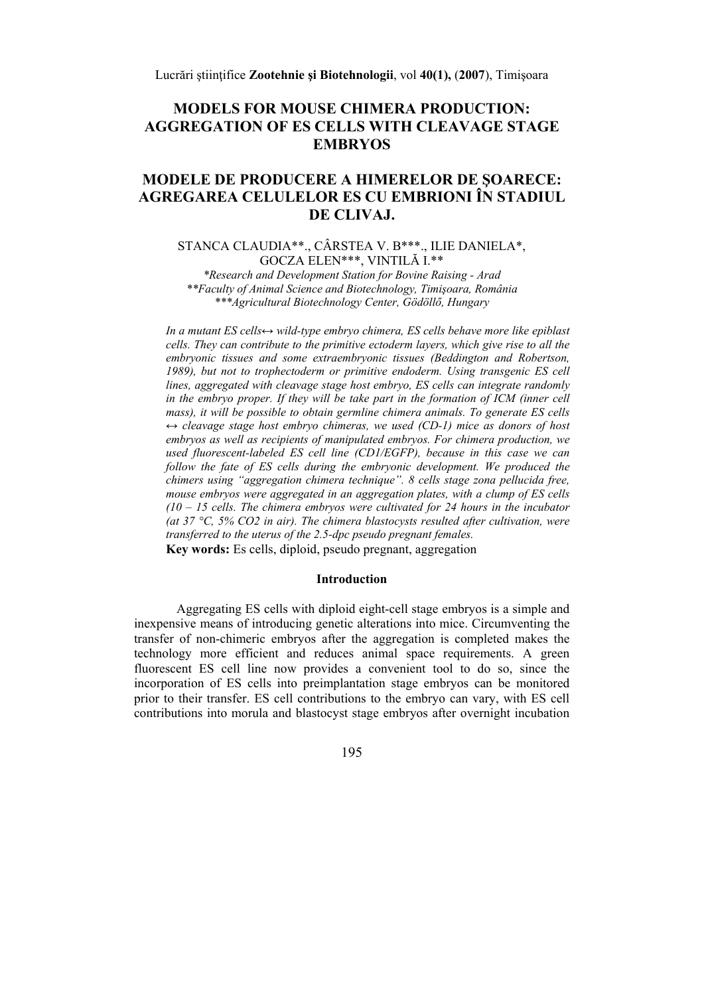# **MODELS FOR MOUSE CHIMERA PRODUCTION: AGGREGATION OF ES CELLS WITH CLEAVAGE STAGE EMBRYOS**

# MODELE DE PRODUCERE A HIMERELOR DE SOARECE: AGREGAREA CELULELOR ES CU EMBRIONI ÎN STADIUI. DE CLIVAJ.

# STANCA CLAUDIA\*\*., CÂRSTEA V. B\*\*\*., ILIE DANIELA\*, GOCZA ELEN\*\*\*, VINTILĂ I.\*\*

\*Research and Development Station for Bovine Raising - Arad \*\*Faculty of Animal Science and Biotechnology, Timișoara, România \*\*\*Agricultural Biotechnology Center, Gödöllő, Hungary

In a mutant ES cells $\leftrightarrow$  wild-type embryo chimera, ES cells behave more like epiblast cells. They can contribute to the primitive ectoderm layers, which give rise to all the embryonic tissues and some extraembryonic tissues (Beddington and Robertson, 1989), but not to trophectoderm or primitive endoderm. Using transgenic ES cell lines, aggregated with cleavage stage host embryo, ES cells can integrate randomly in the embryo proper. If they will be take part in the formation of ICM (inner cell mass), it will be possible to obtain germline chimera animals. To generate ES cells  $\leftrightarrow$  cleavage stage host embryo chimeras, we used (CD-1) mice as donors of host embryos as well as recipients of manipulated embryos. For chimera production, we used fluorescent-labeled ES cell line (CD1/EGFP), because in this case we can follow the fate of ES cells during the embryonic development. We produced the chimers using "aggregation chimera technique". 8 cells stage zona pellucida free, mouse embryos were aggregated in an aggregation plates, with a clump of ES cells  $(10 - 15$  cells. The chimera embryos were cultivated for 24 hours in the incubator (at 37 °C, 5% CO2 in air). The chimera blastocysts resulted after cultivation, were transferred to the uterus of the 2.5-dpc pseudo pregnant females. Key words: Es cells, diploid, pseudo pregnant, aggregation

### **Introduction**

Aggregating ES cells with diploid eight-cell stage embryos is a simple and inexpensive means of introducing genetic alterations into mice. Circumventing the transfer of non-chimeric embryos after the aggregation is completed makes the technology more efficient and reduces animal space requirements. A green fluorescent ES cell line now provides a convenient tool to do so, since the incorporation of ES cells into preimplantation stage embryos can be monitored prior to their transfer. ES cell contributions to the embryo can vary, with ES cell contributions into morula and blastocyst stage embryos after overnight incubation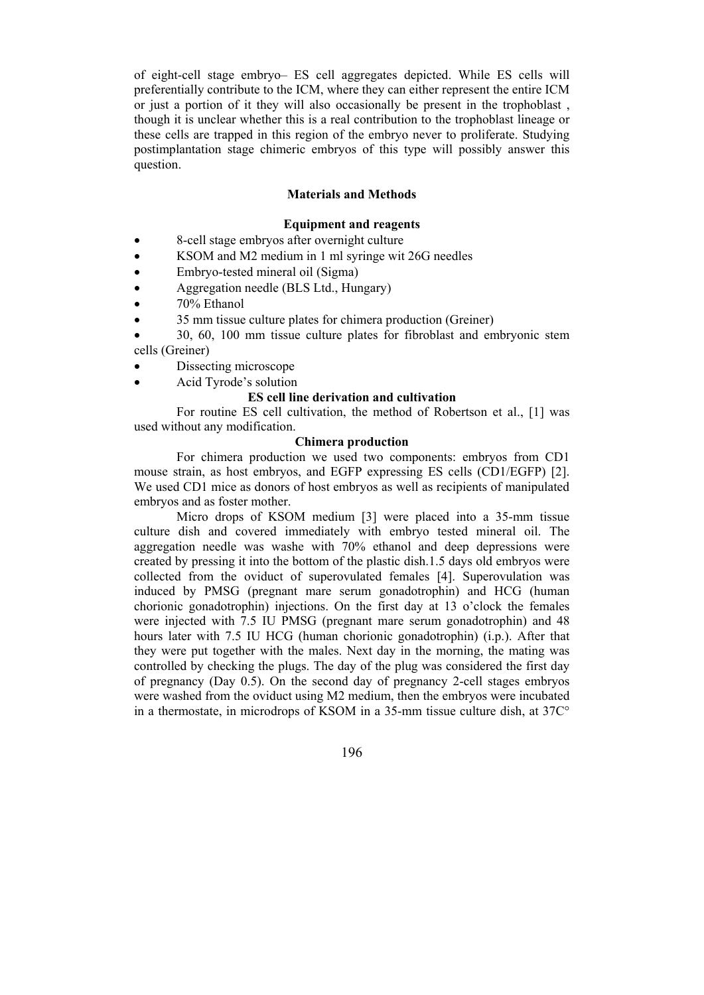of eight-cell stage embryo– ES cell aggregates depicted. While ES cells will preferentially contribute to the ICM, where they can either represent the entire ICM or just a portion of it they will also occasionally be present in the trophoblast , though it is unclear whether this is a real contribution to the trophoblast lineage or these cells are trapped in this region of the embryo never to proliferate. Studying postimplantation stage chimeric embryos of this type will possibly answer this question.

# **Materials and Methods**

### **Equipment and reagents**

- 8-cell stage embryos after overnight culture
- KSOM and M2 medium in 1 ml syringe wit 26G needles
- Embryo-tested mineral oil (Sigma)
- Aggregation needle (BLS Ltd., Hungary)
- 70% Ethanol
- 35 mm tissue culture plates for chimera production (Greiner)
- 30, 60, 100 mm tissue culture plates for fibroblast and embryonic stem cells (Greiner)
- Dissecting microscope
- Acid Tyrode's solution

## **ES cell line derivation and cultivation**

For routine ES cell cultivation, the method of Robertson et al., [1] was used without any modification.

### **Chimera production**

For chimera production we used two components: embryos from CD1 mouse strain, as host embryos, and EGFP expressing ES cells (CD1/EGFP) [2]. We used CD1 mice as donors of host embryos as well as recipients of manipulated embryos and as foster mother.

 Micro drops of KSOM medium [3] were placed into a 35-mm tissue culture dish and covered immediately with embryo tested mineral oil. The aggregation needle was washe with 70% ethanol and deep depressions were created by pressing it into the bottom of the plastic dish.1.5 days old embryos were collected from the oviduct of superovulated females [4]. Superovulation was induced by PMSG (pregnant mare serum gonadotrophin) and HCG (human chorionic gonadotrophin) injections. On the first day at 13 o'clock the females were injected with 7.5 IU PMSG (pregnant mare serum gonadotrophin) and 48 hours later with 7.5 IU HCG (human chorionic gonadotrophin) (i.p.). After that they were put together with the males. Next day in the morning, the mating was controlled by checking the plugs. The day of the plug was considered the first day of pregnancy (Day 0.5). On the second day of pregnancy 2-cell stages embryos were washed from the oviduct using M2 medium, then the embryos were incubated in a thermostate, in microdrops of KSOM in a 35-mm tissue culture dish, at 37C°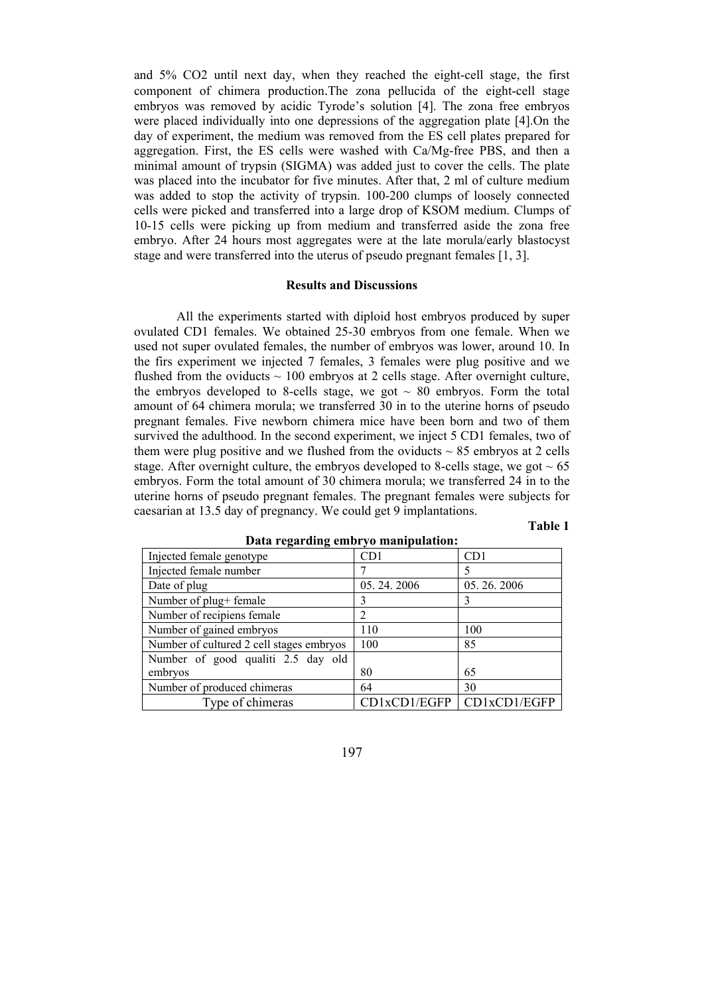and 5% CO2 until next day, when they reached the eight-cell stage, the first component of chimera production.The zona pellucida of the eight-cell stage embryos was removed by acidic Tyrode's solution [4]. The zona free embryos were placed individually into one depressions of the aggregation plate [4].On the day of experiment, the medium was removed from the ES cell plates prepared for aggregation. First, the ES cells were washed with Ca/Mg-free PBS, and then a minimal amount of trypsin (SIGMA) was added just to cover the cells. The plate was placed into the incubator for five minutes. After that, 2 ml of culture medium was added to stop the activity of trypsin. 100-200 clumps of loosely connected cells were picked and transferred into a large drop of KSOM medium. Clumps of 10-15 cells were picking up from medium and transferred aside the zona free embryo. After 24 hours most aggregates were at the late morula/early blastocyst stage and were transferred into the uterus of pseudo pregnant females [1, 3].

#### **Results and Discussions**

All the experiments started with diploid host embryos produced by super ovulated CD1 females. We obtained 25-30 embryos from one female. When we used not super ovulated females, the number of embryos was lower, around 10. In the firs experiment we injected 7 females, 3 females were plug positive and we flushed from the oviducts  $\sim$  100 embryos at 2 cells stage. After overnight culture, the embryos developed to 8-cells stage, we got  $\sim 80$  embryos. Form the total amount of 64 chimera morula; we transferred 30 in to the uterine horns of pseudo pregnant females. Five newborn chimera mice have been born and two of them survived the adulthood. In the second experiment, we inject 5 CD1 females, two of them were plug positive and we flushed from the oviducts  $\sim$  85 embryos at 2 cells stage. After overnight culture, the embryos developed to 8-cells stage, we got  $\sim 65$ embryos. Form the total amount of 30 chimera morula; we transferred 24 in to the uterine horns of pseudo pregnant females. The pregnant females were subjects for caesarian at 13.5 day of pregnancy. We could get 9 implantations.

### **Table 1**

| Injected female genotype                 | CD1          | CD1          |
|------------------------------------------|--------------|--------------|
| Injected female number                   |              | 5            |
| Date of plug                             | 05.24.2006   | 05.26.2006   |
| Number of plug+ female                   | 3            |              |
| Number of recipiens female               |              |              |
| Number of gained embryos                 | 110          | 100          |
| Number of cultured 2 cell stages embryos | 100          | 85           |
| Number of good qualiti 2.5 day old       |              |              |
| embryos                                  | 80           | 65           |
| Number of produced chimeras              | 64           | 30           |
| Type of chimeras                         | CD1xCD1/EGFP | CD1xCD1/EGFP |

#### **Data regarding embryo manipulation:**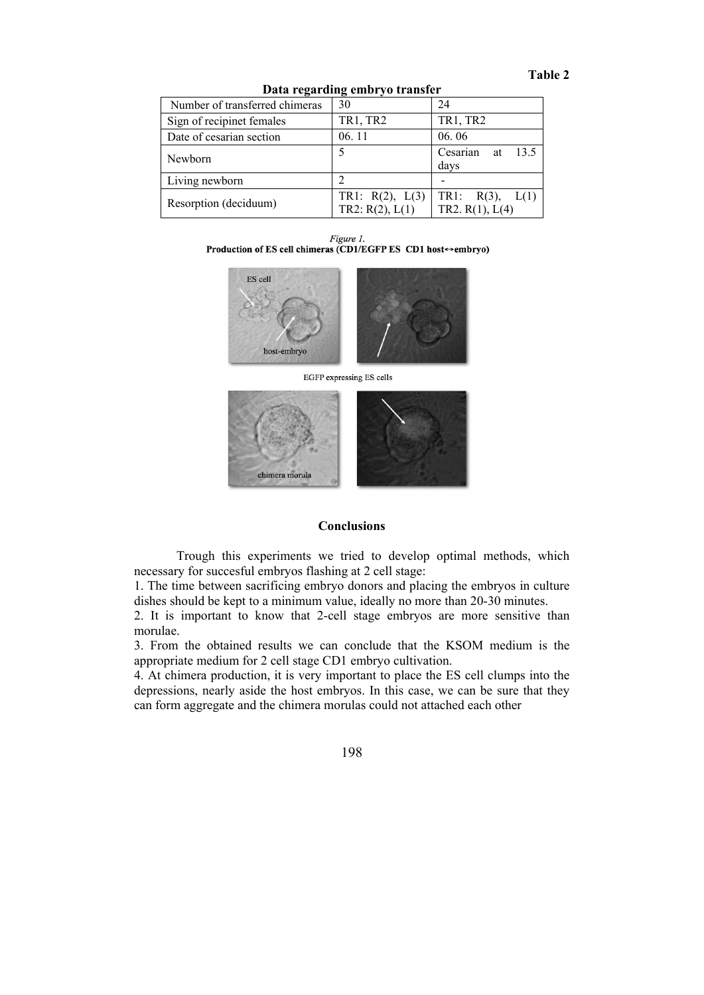| Data regarding chibi yo transici |                                              |                                           |  |
|----------------------------------|----------------------------------------------|-------------------------------------------|--|
| Number of transferred chimeras   | 30                                           | 24                                        |  |
| Sign of recipinet females        | <b>TR1, TR2</b>                              | TR1, TR2                                  |  |
| Date of cesarian section         | 06.11                                        | 06.06                                     |  |
| Newborn                          |                                              | 13.5<br>Cesarian at<br>days               |  |
| Living newborn                   |                                              |                                           |  |
| Resorption (deciduum)            | TR1: $R(2)$ , $L(3)$<br>TR2: $R(2)$ , $L(1)$ | TR1: $R(3)$ , $L(1)$<br>TR2. $R(1), L(4)$ |  |

**Data regarding embryo transfer** 

Figure 1. Production of ES cell chimeras (CD1/EGFP ES CD1 host↔ embryo)



EGFP expressing ES cells



## **Conclusions**

Trough this experiments we tried to develop optimal methods, which necessary for succesful embryos flashing at 2 cell stage:

1. The time between sacrificing embryo donors and placing the embryos in culture dishes should be kept to a minimum value, ideally no more than 20-30 minutes.

2. It is important to know that 2-cell stage embryos are more sensitive than morulae.

3. From the obtained results we can conclude that the KSOM medium is the appropriate medium for 2 cell stage CD1 embryo cultivation.

4. At chimera production, it is very important to place the ES cell clumps into the depressions, nearly aside the host embryos. In this case, we can be sure that they can form aggregate and the chimera morulas could not attached each other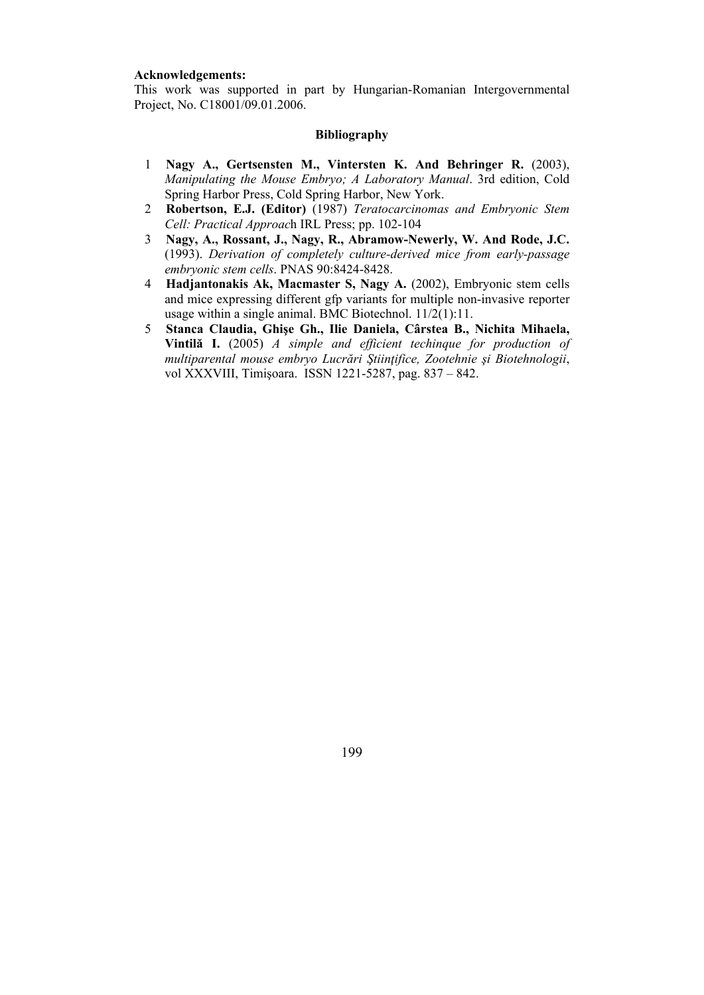## **Acknowledgements:**

This work was supported in part by Hungarian-Romanian Intergovernmental Project, No. C18001/09.01.2006.

# **Bibliography**

- 1 Nagy A., Gertsensten M., Vintersten K. And Behringer R. (2003), Manipulating the Mouse Embryo: A Laboratory Manual, 3rd edition. Cold Spring Harbor Press, Cold Spring Harbor, New York.
- 2 Robertson, E.J. (Editor) (1987) Teratocarcinomas and Embryonic Stem Cell: Practical Approach IRL Press; pp. 102-104
- Nagy, A., Rossant, J., Nagy, R., Abramow-Newerly, W. And Rode, J.C.  $3<sup>7</sup>$ (1993). Derivation of completely culture-derived mice from early-passage embryonic stem cells. PNAS 90:8424-8428.
- 4 Hadjantonakis Ak, Macmaster S, Nagy A. (2002), Embryonic stem cells and mice expressing different gfp variants for multiple non-invasive reporter usage within a single animal. BMC Biotechnol.  $11/2(1)$ :11.
- $5<sup>5</sup>$ Stanca Claudia, Ghișe Gh., Ilie Daniela, Cârstea B., Nichita Mihaela, Vintilă I. (2005)  $\hat{A}$  simple and efficient techingue for production of multiparental mouse embryo Lucrări Științifice, Zootehnie și Biotehnologii, vol XXXVIII, Timișoara. ISSN 1221-5287, pag. 837 – 842.